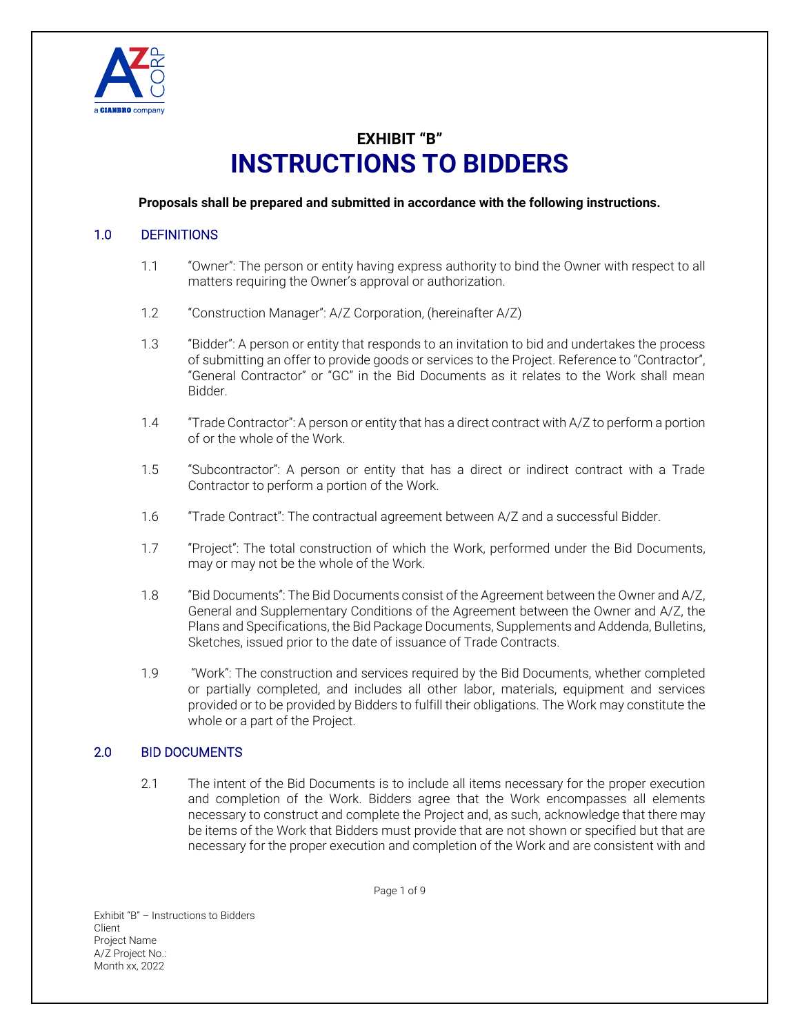

# **EXHIBIT "B" INSTRUCTIONS TO BIDDERS**

#### **Proposals shall be prepared and submitted in accordance with the following instructions.**

# 1.0 DEFINITIONS

- 1.1 "Owner": The person or entity having express authority to bind the Owner with respect to all matters requiring the Owner's approval or authorization.
- 1.2 "Construction Manager": A/Z Corporation, (hereinafter A/Z)
- 1.3 "Bidder": A person or entity that responds to an invitation to bid and undertakes the process of submitting an offer to provide goods or services to the Project. Reference to "Contractor", "General Contractor" or "GC" in the Bid Documents as it relates to the Work shall mean Bidder.
- 1.4 "Trade Contractor": A person or entity that has a direct contract with A/Z to perform a portion of or the whole of the Work.
- 1.5 "Subcontractor": A person or entity that has a direct or indirect contract with a Trade Contractor to perform a portion of the Work.
- 1.6 "Trade Contract": The contractual agreement between A/Z and a successful Bidder.
- 1.7 "Project": The total construction of which the Work, performed under the Bid Documents, may or may not be the whole of the Work.
- 1.8 "Bid Documents": The Bid Documents consist of the Agreement between the Owner and A/Z, General and Supplementary Conditions of the Agreement between the Owner and A/Z, the Plans and Specifications, the Bid Package Documents, Supplements and Addenda, Bulletins, Sketches, issued prior to the date of issuance of Trade Contracts.
- 1.9 "Work": The construction and services required by the Bid Documents, whether completed or partially completed, and includes all other labor, materials, equipment and services provided or to be provided by Bidders to fulfill their obligations. The Work may constitute the whole or a part of the Project.

# 2.0 BID DOCUMENTS

2.1 The intent of the Bid Documents is to include all items necessary for the proper execution and completion of the Work. Bidders agree that the Work encompasses all elements necessary to construct and complete the Project and, as such, acknowledge that there may be items of the Work that Bidders must provide that are not shown or specified but that are necessary for the proper execution and completion of the Work and are consistent with and

Page 1 of 9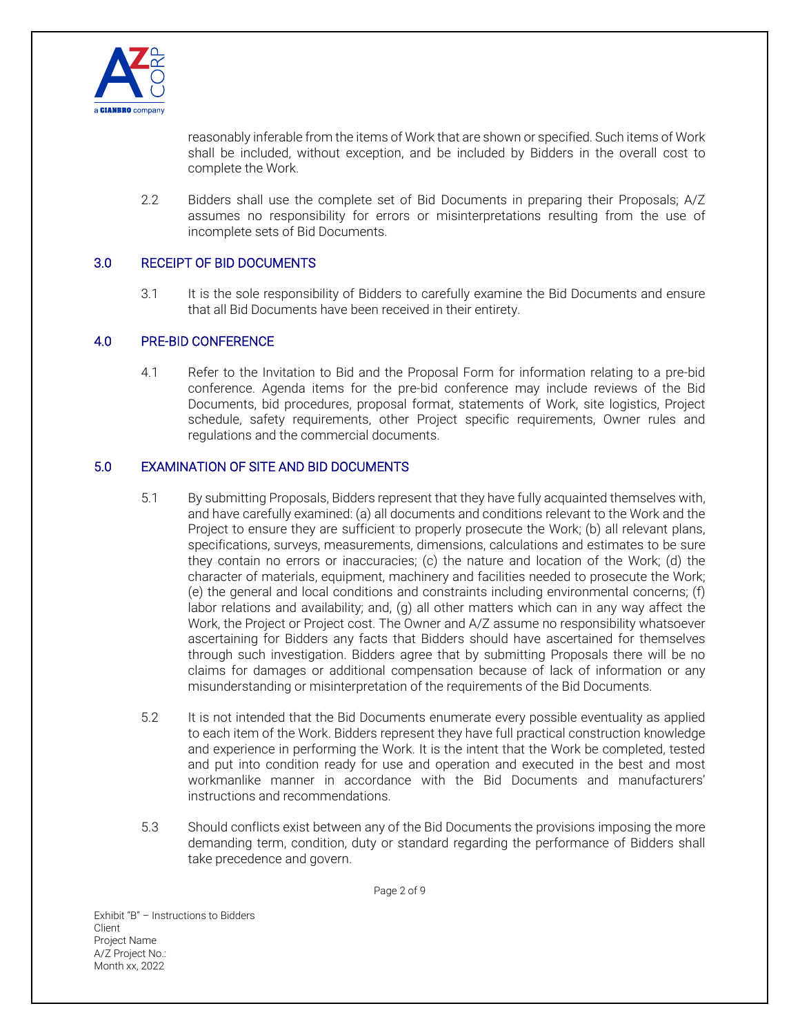

reasonably inferable from the items of Work that are shown or specified. Such items of Work shall be included, without exception, and be included by Bidders in the overall cost to complete the Work.

2.2 Bidders shall use the complete set of Bid Documents in preparing their Proposals; A/Z assumes no responsibility for errors or misinterpretations resulting from the use of incomplete sets of Bid Documents.

# 3.0 RECEIPT OF BID DOCUMENTS

3.1 It is the sole responsibility of Bidders to carefully examine the Bid Documents and ensure that all Bid Documents have been received in their entirety.

# 4.0 PRE-BID CONFERENCE

4.1 Refer to the Invitation to Bid and the Proposal Form for information relating to a pre-bid conference. Agenda items for the pre-bid conference may include reviews of the Bid Documents, bid procedures, proposal format, statements of Work, site logistics, Project schedule, safety requirements, other Project specific requirements, Owner rules and regulations and the commercial documents.

# 5.0 EXAMINATION OF SITE AND BID DOCUMENTS

- 5.1 By submitting Proposals, Bidders represent that they have fully acquainted themselves with, and have carefully examined: (a) all documents and conditions relevant to the Work and the Project to ensure they are sufficient to properly prosecute the Work; (b) all relevant plans, specifications, surveys, measurements, dimensions, calculations and estimates to be sure they contain no errors or inaccuracies; (c) the nature and location of the Work; (d) the character of materials, equipment, machinery and facilities needed to prosecute the Work; (e) the general and local conditions and constraints including environmental concerns; (f) labor relations and availability; and, (g) all other matters which can in any way affect the Work, the Project or Project cost. The Owner and A/Z assume no responsibility whatsoever ascertaining for Bidders any facts that Bidders should have ascertained for themselves through such investigation. Bidders agree that by submitting Proposals there will be no claims for damages or additional compensation because of lack of information or any misunderstanding or misinterpretation of the requirements of the Bid Documents.
- 5.2 It is not intended that the Bid Documents enumerate every possible eventuality as applied to each item of the Work. Bidders represent they have full practical construction knowledge and experience in performing the Work. It is the intent that the Work be completed, tested and put into condition ready for use and operation and executed in the best and most workmanlike manner in accordance with the Bid Documents and manufacturers' instructions and recommendations.
- 5.3 Should conflicts exist between any of the Bid Documents the provisions imposing the more demanding term, condition, duty or standard regarding the performance of Bidders shall take precedence and govern.

Page 2 of 9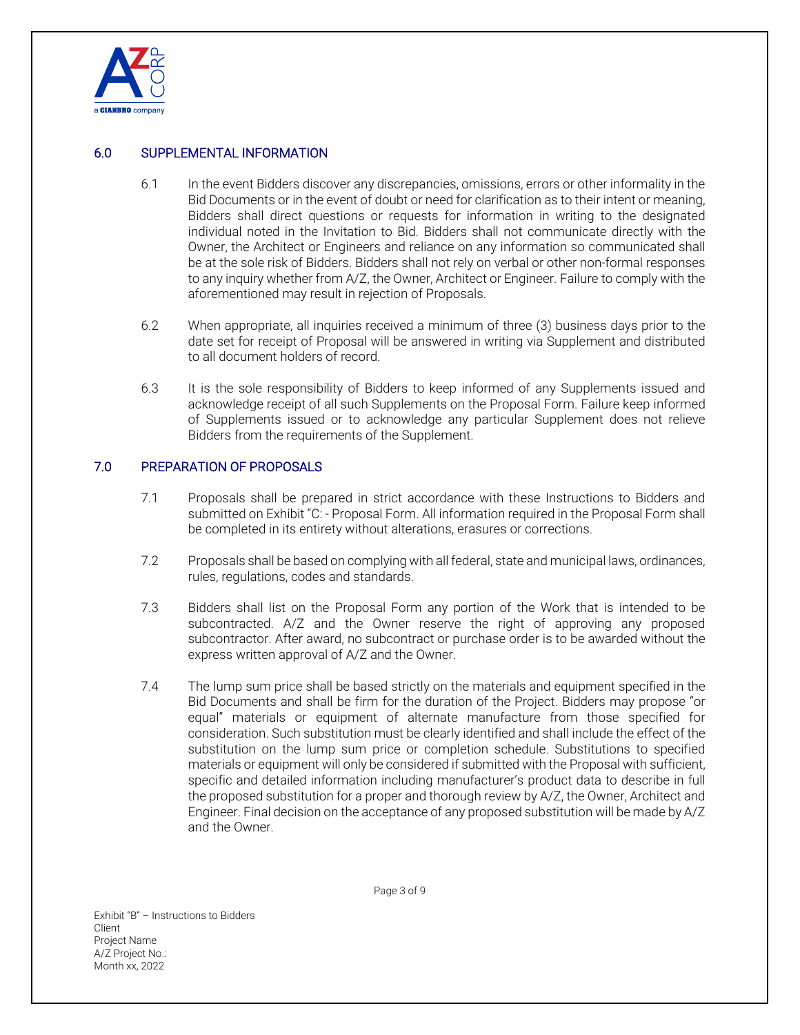

# 6.0 SUPPLEMENTAL INFORMATION

- 6.1 In the event Bidders discover any discrepancies, omissions, errors or other informality in the Bid Documents or in the event of doubt or need for clarification as to their intent or meaning, Bidders shall direct questions or requests for information in writing to the designated individual noted in the Invitation to Bid. Bidders shall not communicate directly with the Owner, the Architect or Engineers and reliance on any information so communicated shall be at the sole risk of Bidders. Bidders shall not rely on verbal or other non-formal responses to any inquiry whether from A/Z, the Owner, Architect or Engineer. Failure to comply with the aforementioned may result in rejection of Proposals.
- 6.2 When appropriate, all inquiries received a minimum of three (3) business days prior to the date set for receipt of Proposal will be answered in writing via Supplement and distributed to all document holders of record.
- 6.3 It is the sole responsibility of Bidders to keep informed of any Supplements issued and acknowledge receipt of all such Supplements on the Proposal Form. Failure keep informed of Supplements issued or to acknowledge any particular Supplement does not relieve Bidders from the requirements of the Supplement.

# 7.0 PREPARATION OF PROPOSALS

- 7.1 Proposals shall be prepared in strict accordance with these Instructions to Bidders and submitted on Exhibit "C: - Proposal Form. All information required in the Proposal Form shall be completed in its entirety without alterations, erasures or corrections.
- 7.2 Proposals shall be based on complying with all federal, state and municipal laws, ordinances, rules, regulations, codes and standards.
- 7.3 Bidders shall list on the Proposal Form any portion of the Work that is intended to be subcontracted. A/Z and the Owner reserve the right of approving any proposed subcontractor. After award, no subcontract or purchase order is to be awarded without the express written approval of A/Z and the Owner.
- 7.4 The lump sum price shall be based strictly on the materials and equipment specified in the Bid Documents and shall be firm for the duration of the Project. Bidders may propose "or equal" materials or equipment of alternate manufacture from those specified for consideration. Such substitution must be clearly identified and shall include the effect of the substitution on the lump sum price or completion schedule. Substitutions to specified materials or equipment will only be considered if submitted with the Proposal with sufficient, specific and detailed information including manufacturer's product data to describe in full the proposed substitution for a proper and thorough review by A/Z, the Owner, Architect and Engineer. Final decision on the acceptance of any proposed substitution will be made by A/Z and the Owner.

Exhibit "B" – Instructions to Bidders Client Project Name A/Z Project No.: Month xx, 2022

Page 3 of 9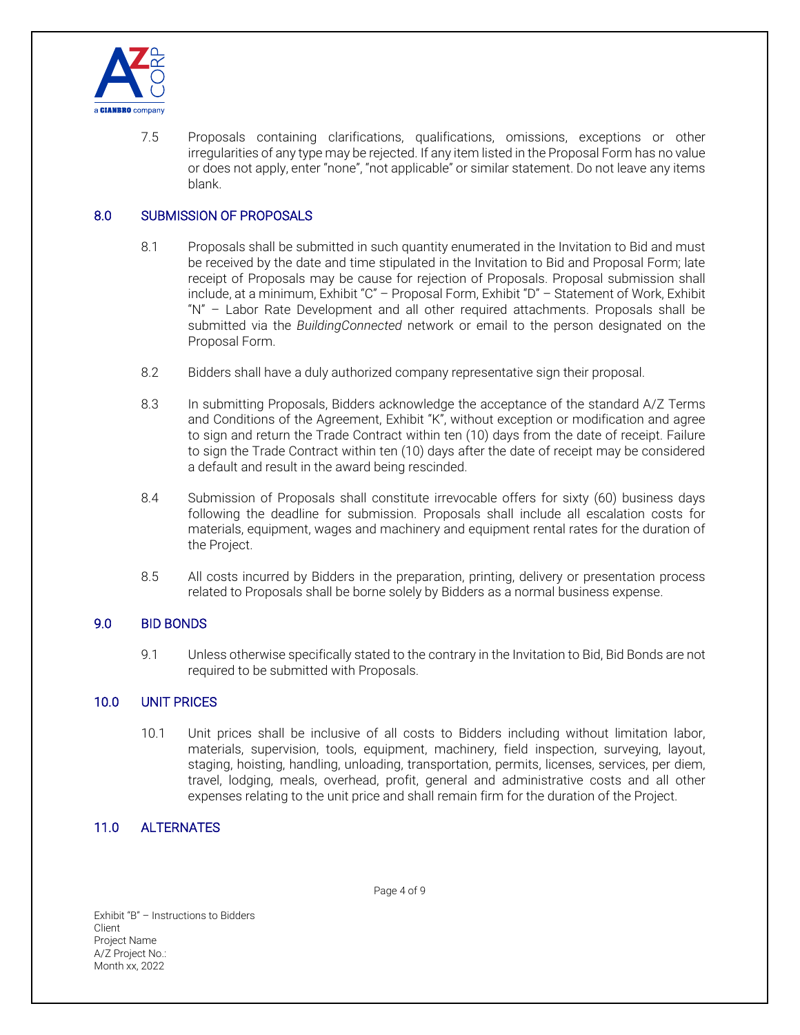

7.5 Proposals containing clarifications, qualifications, omissions, exceptions or other irregularities of any type may be rejected. If any item listed in the Proposal Form has no value or does not apply, enter "none", "not applicable" or similar statement. Do not leave any items blank.

# 8.0 SUBMISSION OF PROPOSALS

- 8.1 Proposals shall be submitted in such quantity enumerated in the Invitation to Bid and must be received by the date and time stipulated in the Invitation to Bid and Proposal Form; late receipt of Proposals may be cause for rejection of Proposals. Proposal submission shall include, at a minimum, Exhibit "C" – Proposal Form, Exhibit "D" – Statement of Work, Exhibit "N" – Labor Rate Development and all other required attachments. Proposals shall be submitted via the *BuildingConnected* network or email to the person designated on the Proposal Form.
- 8.2 Bidders shall have a duly authorized company representative sign their proposal.
- 8.3 In submitting Proposals, Bidders acknowledge the acceptance of the standard A/Z Terms and Conditions of the Agreement, Exhibit "K", without exception or modification and agree to sign and return the Trade Contract within ten (10) days from the date of receipt. Failure to sign the Trade Contract within ten (10) days after the date of receipt may be considered a default and result in the award being rescinded.
- 8.4 Submission of Proposals shall constitute irrevocable offers for sixty (60) business days following the deadline for submission. Proposals shall include all escalation costs for materials, equipment, wages and machinery and equipment rental rates for the duration of the Project.
- 8.5 All costs incurred by Bidders in the preparation, printing, delivery or presentation process related to Proposals shall be borne solely by Bidders as a normal business expense.

#### 9.0 BID BONDS

9.1 Unless otherwise specifically stated to the contrary in the Invitation to Bid, Bid Bonds are not required to be submitted with Proposals.

#### 10.0 UNIT PRICES

10.1 Unit prices shall be inclusive of all costs to Bidders including without limitation labor, materials, supervision, tools, equipment, machinery, field inspection, surveying, layout, staging, hoisting, handling, unloading, transportation, permits, licenses, services, per diem, travel, lodging, meals, overhead, profit, general and administrative costs and all other expenses relating to the unit price and shall remain firm for the duration of the Project.

## 11.0 ALTERNATES

Page 4 of 9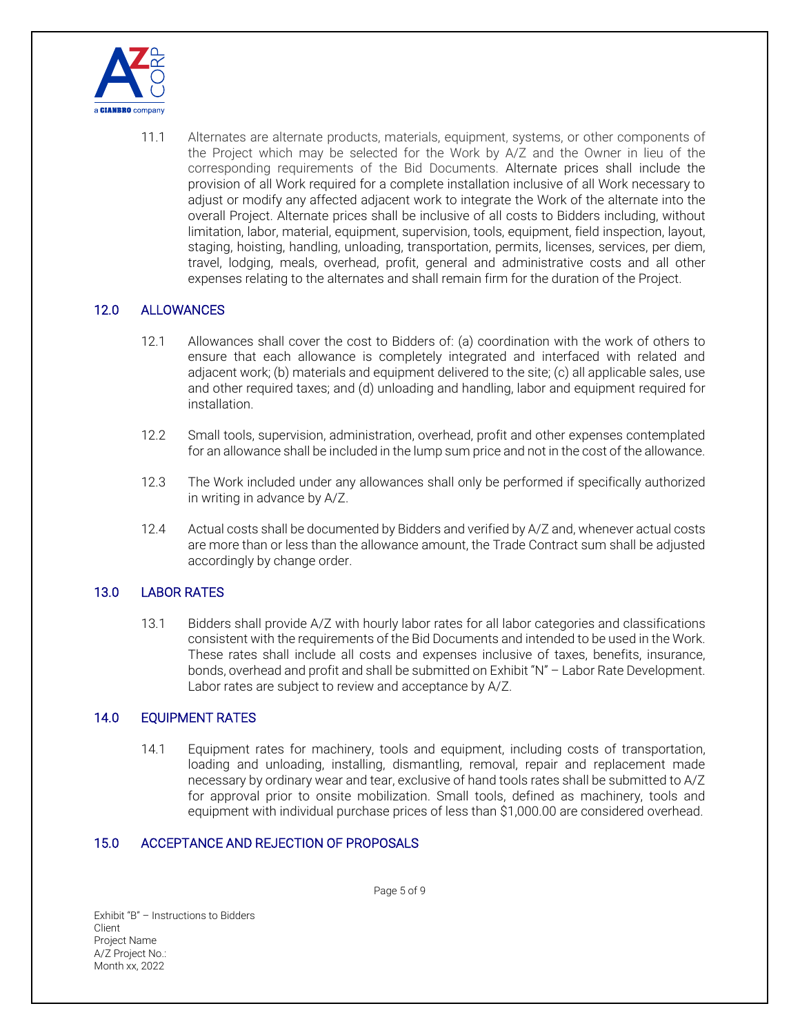

11.1 Alternates are alternate products, materials, equipment, systems, or other components of the Project which may be selected for the Work by A/Z and the Owner in lieu of the corresponding requirements of the Bid Documents. Alternate prices shall include the provision of all Work required for a complete installation inclusive of all Work necessary to adjust or modify any affected adjacent work to integrate the Work of the alternate into the overall Project. Alternate prices shall be inclusive of all costs to Bidders including, without limitation, labor, material, equipment, supervision, tools, equipment, field inspection, layout, staging, hoisting, handling, unloading, transportation, permits, licenses, services, per diem, travel, lodging, meals, overhead, profit, general and administrative costs and all other expenses relating to the alternates and shall remain firm for the duration of the Project.

# 12.0 ALLOWANCES

- 12.1 Allowances shall cover the cost to Bidders of: (a) coordination with the work of others to ensure that each allowance is completely integrated and interfaced with related and adjacent work; (b) materials and equipment delivered to the site; (c) all applicable sales, use and other required taxes; and (d) unloading and handling, labor and equipment required for installation.
- 12.2 Small tools, supervision, administration, overhead, profit and other expenses contemplated for an allowance shall be included in the lump sum price and not in the cost of the allowance.
- 12.3 The Work included under any allowances shall only be performed if specifically authorized in writing in advance by A/Z.
- 12.4 Actual costs shall be documented by Bidders and verified by A/Z and, whenever actual costs are more than or less than the allowance amount, the Trade Contract sum shall be adjusted accordingly by change order.

#### 13.0 LABOR RATES

13.1 Bidders shall provide A/Z with hourly labor rates for all labor categories and classifications consistent with the requirements of the Bid Documents and intended to be used in the Work. These rates shall include all costs and expenses inclusive of taxes, benefits, insurance, bonds, overhead and profit and shall be submitted on Exhibit "N" – Labor Rate Development. Labor rates are subject to review and acceptance by A/Z.

#### 14.0 EQUIPMENT RATES

14.1 Equipment rates for machinery, tools and equipment, including costs of transportation, loading and unloading, installing, dismantling, removal, repair and replacement made necessary by ordinary wear and tear, exclusive of hand tools rates shall be submitted to A/Z for approval prior to onsite mobilization. Small tools, defined as machinery, tools and equipment with individual purchase prices of less than \$1,000.00 are considered overhead.

## 15.0 ACCEPTANCE AND REJECTION OF PROPOSALS

Exhibit "B" – Instructions to Bidders Client Project Name A/Z Project No.: Month xx, 2022

Page 5 of 9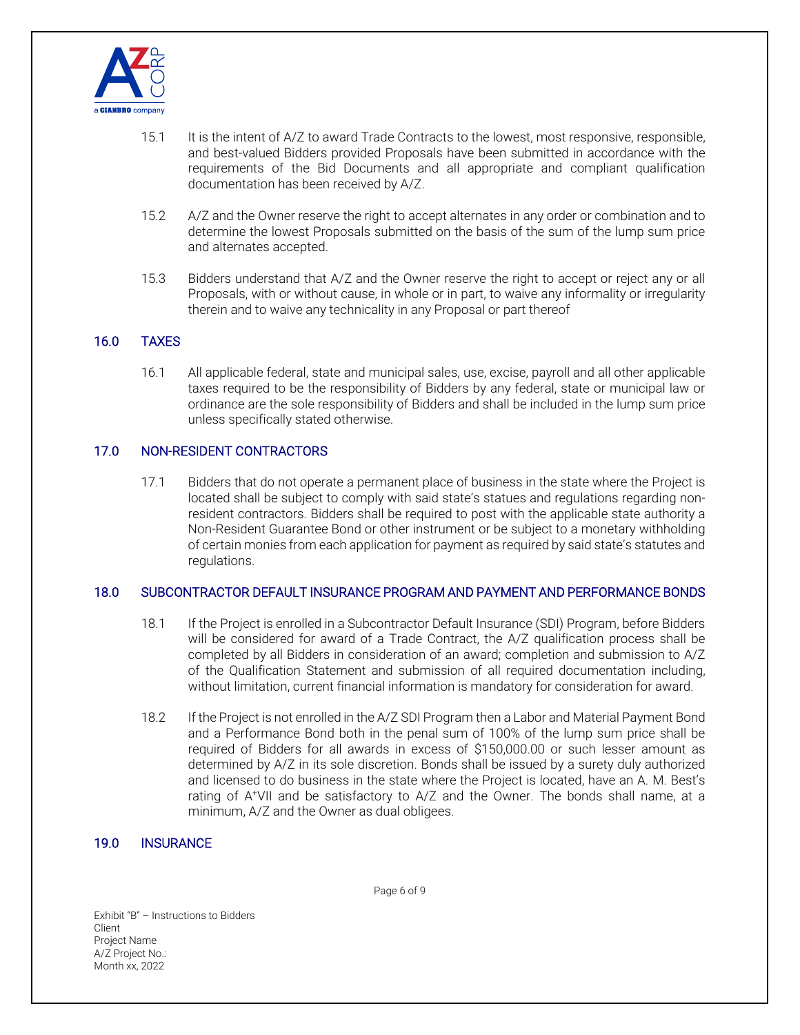

- 15.1 It is the intent of A/Z to award Trade Contracts to the lowest, most responsive, responsible, and best-valued Bidders provided Proposals have been submitted in accordance with the requirements of the Bid Documents and all appropriate and compliant qualification documentation has been received by A/Z.
- 15.2 A/Z and the Owner reserve the right to accept alternates in any order or combination and to determine the lowest Proposals submitted on the basis of the sum of the lump sum price and alternates accepted.
- 15.3 Bidders understand that A/Z and the Owner reserve the right to accept or reject any or all Proposals, with or without cause, in whole or in part, to waive any informality or irregularity therein and to waive any technicality in any Proposal or part thereof

# 16.0 TAXES

16.1 All applicable federal, state and municipal sales, use, excise, payroll and all other applicable taxes required to be the responsibility of Bidders by any federal, state or municipal law or ordinance are the sole responsibility of Bidders and shall be included in the lump sum price unless specifically stated otherwise.

#### 17.0 NON-RESIDENT CONTRACTORS

17.1 Bidders that do not operate a permanent place of business in the state where the Project is located shall be subject to comply with said state's statues and regulations regarding nonresident contractors. Bidders shall be required to post with the applicable state authority a Non-Resident Guarantee Bond or other instrument or be subject to a monetary withholding of certain monies from each application for payment as required by said state's statutes and regulations.

#### 18.0 SUBCONTRACTOR DEFAULT INSURANCE PROGRAM AND PAYMENT AND PERFORMANCE BONDS

- 18.1 If the Project is enrolled in a Subcontractor Default Insurance (SDI) Program, before Bidders will be considered for award of a Trade Contract, the A/Z qualification process shall be completed by all Bidders in consideration of an award; completion and submission to A/Z of the Qualification Statement and submission of all required documentation including, without limitation, current financial information is mandatory for consideration for award.
- 18.2 If the Project is not enrolled in the A/Z SDI Program then a Labor and Material Payment Bond and a Performance Bond both in the penal sum of 100% of the lump sum price shall be required of Bidders for all awards in excess of \$150,000.00 or such lesser amount as determined by A/Z in its sole discretion. Bonds shall be issued by a surety duly authorized and licensed to do business in the state where the Project is located, have an A. M. Best's rating of A+VII and be satisfactory to A/Z and the Owner. The bonds shall name, at a minimum, A/Z and the Owner as dual obligees.

#### 19.0 INSURANCE

Page 6 of 9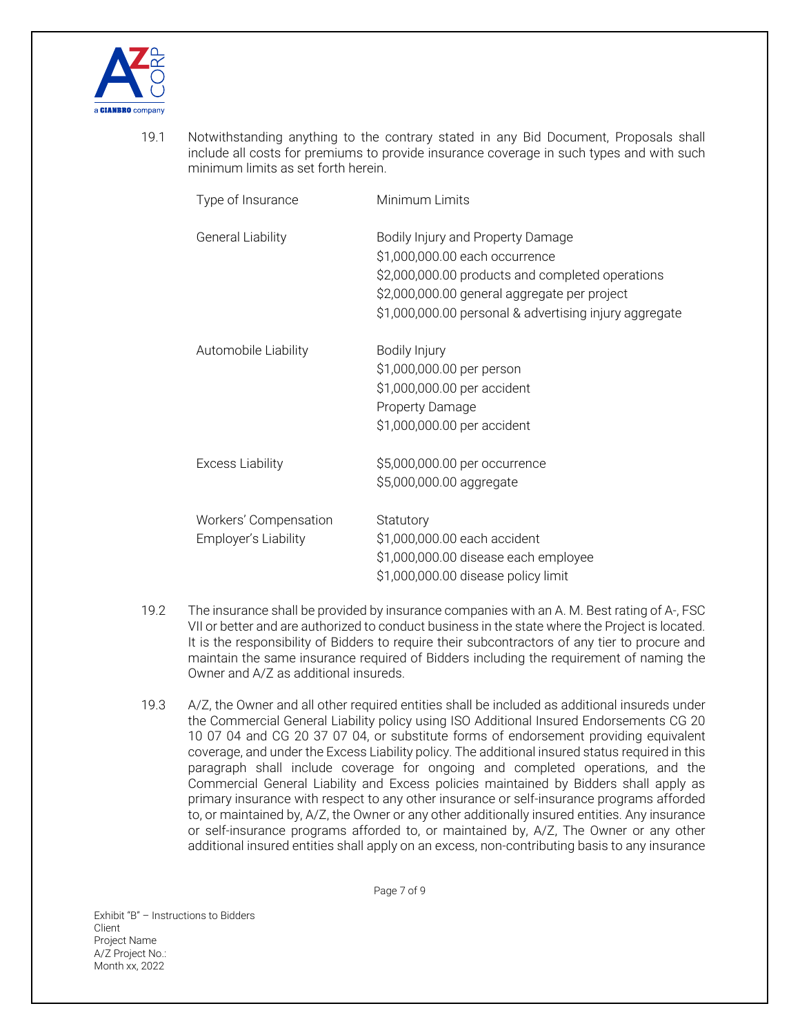

19.1 Notwithstanding anything to the contrary stated in any Bid Document, Proposals shall include all costs for premiums to provide insurance coverage in such types and with such minimum limits as set forth herein.

| Type of Insurance                             | Minimum Limits                                                                                                                                                                                                                    |
|-----------------------------------------------|-----------------------------------------------------------------------------------------------------------------------------------------------------------------------------------------------------------------------------------|
| <b>General Liability</b>                      | Bodily Injury and Property Damage<br>\$1,000,000.00 each occurrence<br>\$2,000,000.00 products and completed operations<br>\$2,000,000.00 general aggregate per project<br>\$1,000,000.00 personal & advertising injury aggregate |
| Automobile Liability                          | Bodily Injury<br>\$1,000,000.00 per person<br>\$1,000,000.00 per accident<br>Property Damage<br>\$1,000,000.00 per accident                                                                                                       |
| <b>Excess Liability</b>                       | \$5,000,000.00 per occurrence<br>\$5,000,000.00 aggregate                                                                                                                                                                         |
| Workers' Compensation<br>Employer's Liability | Statutory<br>\$1,000,000.00 each accident<br>\$1,000,000.00 disease each employee<br>\$1,000,000.00 disease policy limit                                                                                                          |

- 19.2 The insurance shall be provided by insurance companies with an A. M. Best rating of A-, FSC VII or better and are authorized to conduct business in the state where the Project is located. It is the responsibility of Bidders to require their subcontractors of any tier to procure and maintain the same insurance required of Bidders including the requirement of naming the Owner and A/Z as additional insureds.
- 19.3 A/Z, the Owner and all other required entities shall be included as additional insureds under the Commercial General Liability policy using ISO Additional Insured Endorsements CG 20 10 07 04 and CG 20 37 07 04, or substitute forms of endorsement providing equivalent coverage, and under the Excess Liability policy. The additional insured status required in this paragraph shall include coverage for ongoing and completed operations, and the Commercial General Liability and Excess policies maintained by Bidders shall apply as primary insurance with respect to any other insurance or self-insurance programs afforded to, or maintained by, A/Z, the Owner or any other additionally insured entities. Any insurance or self-insurance programs afforded to, or maintained by, A/Z, The Owner or any other additional insured entities shall apply on an excess, non-contributing basis to any insurance

Page 7 of 9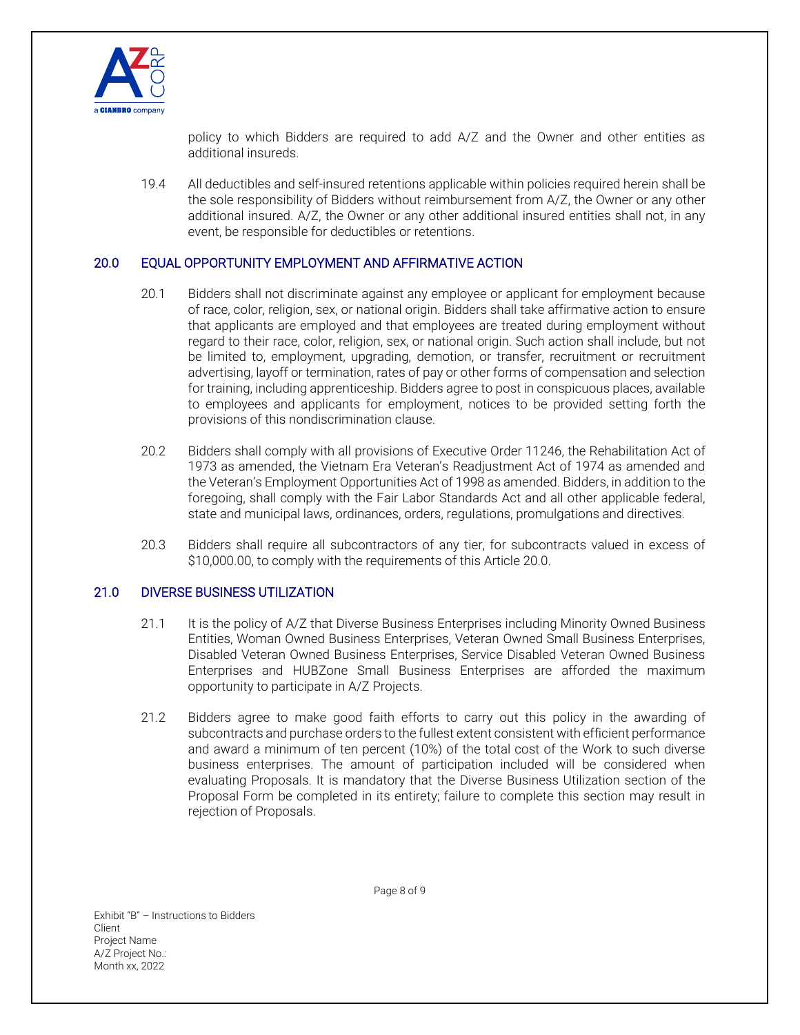

policy to which Bidders are required to add A/Z and the Owner and other entities as additional insureds.

19.4 All deductibles and self-insured retentions applicable within policies required herein shall be the sole responsibility of Bidders without reimbursement from A/Z, the Owner or any other additional insured. A/Z, the Owner or any other additional insured entities shall not, in any event, be responsible for deductibles or retentions.

#### 20.0 EQUAL OPPORTUNITY EMPLOYMENT AND AFFIRMATIVE ACTION

- 20.1 Bidders shall not discriminate against any employee or applicant for employment because of race, color, religion, sex, or national origin. Bidders shall take affirmative action to ensure that applicants are employed and that employees are treated during employment without regard to their race, color, religion, sex, or national origin. Such action shall include, but not be limited to, employment, upgrading, demotion, or transfer, recruitment or recruitment advertising, layoff or termination, rates of pay or other forms of compensation and selection for training, including apprenticeship. Bidders agree to post in conspicuous places, available to employees and applicants for employment, notices to be provided setting forth the provisions of this nondiscrimination clause.
- 20.2 Bidders shall comply with all provisions of Executive Order 11246, the Rehabilitation Act of 1973 as amended, the Vietnam Era Veteran's Readjustment Act of 1974 as amended and the Veteran's Employment Opportunities Act of 1998 as amended. Bidders, in addition to the foregoing, shall comply with the Fair Labor Standards Act and all other applicable federal, state and municipal laws, ordinances, orders, regulations, promulgations and directives.
- 20.3 Bidders shall require all subcontractors of any tier, for subcontracts valued in excess of \$10,000.00, to comply with the requirements of this Article 20.0.

#### 21.0 DIVERSE BUSINESS UTILIZATION

- 21.1 It is the policy of A/Z that Diverse Business Enterprises including Minority Owned Business Entities, Woman Owned Business Enterprises, Veteran Owned Small Business Enterprises, Disabled Veteran Owned Business Enterprises, Service Disabled Veteran Owned Business Enterprises and HUBZone Small Business Enterprises are afforded the maximum opportunity to participate in A/Z Projects.
- 21.2 Bidders agree to make good faith efforts to carry out this policy in the awarding of subcontracts and purchase orders to the fullest extent consistent with efficient performance and award a minimum of ten percent (10%) of the total cost of the Work to such diverse business enterprises. The amount of participation included will be considered when evaluating Proposals. It is mandatory that the Diverse Business Utilization section of the Proposal Form be completed in its entirety; failure to complete this section may result in rejection of Proposals.

Exhibit "B" – Instructions to Bidders Client Project Name A/Z Project No.: Month xx, 2022

Page 8 of 9